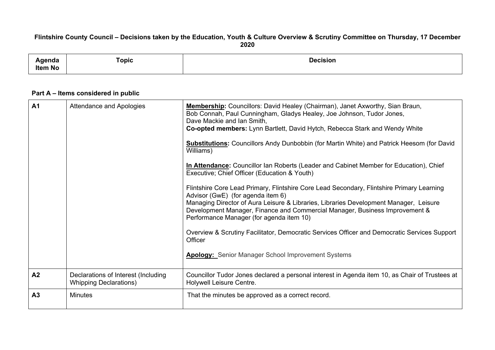## Flintshire County Council - Decisions taken by the Education, Youth & Culture Overview & Scrutiny Committee on Thursday, 17 December **2020**

| $\sim$<br>enua<br>Item No | Горіс | <b>Decision</b><br>. |
|---------------------------|-------|----------------------|
|                           |       |                      |

## **Part A – Items considered in public**

| A <sub>1</sub> | Attendance and Apologies                                             | Membership: Councillors: David Healey (Chairman), Janet Axworthy, Sian Braun,<br>Bob Connah, Paul Cunningham, Gladys Healey, Joe Johnson, Tudor Jones,<br>Dave Mackie and Ian Smith,<br>Co-opted members: Lynn Bartlett, David Hytch, Rebecca Stark and Wendy White<br><b>Substitutions:</b> Councillors Andy Dunbobbin (for Martin White) and Patrick Heesom (for David<br>Williams)<br>In Attendance: Councillor Ian Roberts (Leader and Cabinet Member for Education), Chief<br>Executive; Chief Officer (Education & Youth)<br>Flintshire Core Lead Primary, Flintshire Core Lead Secondary, Flintshire Primary Learning<br>Advisor (GwE) (for agenda item 6)<br>Managing Director of Aura Leisure & Libraries, Libraries Development Manager, Leisure<br>Development Manager, Finance and Commercial Manager, Business Improvement &<br>Performance Manager (for agenda item 10)<br>Overview & Scrutiny Facilitator, Democratic Services Officer and Democratic Services Support<br>Officer<br><b>Apology:</b> Senior Manager School Improvement Systems |
|----------------|----------------------------------------------------------------------|---------------------------------------------------------------------------------------------------------------------------------------------------------------------------------------------------------------------------------------------------------------------------------------------------------------------------------------------------------------------------------------------------------------------------------------------------------------------------------------------------------------------------------------------------------------------------------------------------------------------------------------------------------------------------------------------------------------------------------------------------------------------------------------------------------------------------------------------------------------------------------------------------------------------------------------------------------------------------------------------------------------------------------------------------------------|
| A2             | Declarations of Interest (Including<br><b>Whipping Declarations)</b> | Councillor Tudor Jones declared a personal interest in Agenda item 10, as Chair of Trustees at<br>Holywell Leisure Centre.                                                                                                                                                                                                                                                                                                                                                                                                                                                                                                                                                                                                                                                                                                                                                                                                                                                                                                                                    |
| A3             | <b>Minutes</b>                                                       | That the minutes be approved as a correct record.                                                                                                                                                                                                                                                                                                                                                                                                                                                                                                                                                                                                                                                                                                                                                                                                                                                                                                                                                                                                             |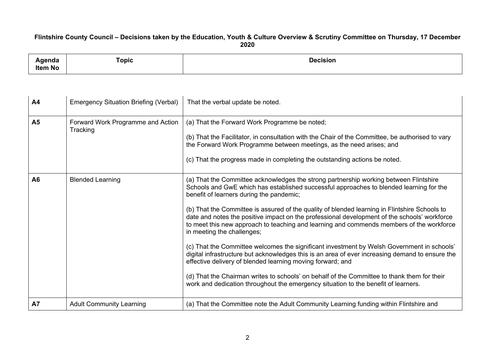## Flintshire County Council - Decisions taken by the Education, Youth & Culture Overview & Scrutiny Committee on Thursday, 17 December **2020**

| ∖genda<br><b>Item No</b> | Topic | <b>Decision</b><br>. |
|--------------------------|-------|----------------------|
|                          |       |                      |

| A4             | <b>Emergency Situation Briefing (Verbal)</b>  | That the verbal update be noted.                                                                                                                                                                                                                                                                                                                                                                                                                                                                                                                                                                                                                                                                                                                                                                                                                                                                                                                                                                            |
|----------------|-----------------------------------------------|-------------------------------------------------------------------------------------------------------------------------------------------------------------------------------------------------------------------------------------------------------------------------------------------------------------------------------------------------------------------------------------------------------------------------------------------------------------------------------------------------------------------------------------------------------------------------------------------------------------------------------------------------------------------------------------------------------------------------------------------------------------------------------------------------------------------------------------------------------------------------------------------------------------------------------------------------------------------------------------------------------------|
| <b>A5</b>      | Forward Work Programme and Action<br>Tracking | (a) That the Forward Work Programme be noted;<br>(b) That the Facilitator, in consultation with the Chair of the Committee, be authorised to vary<br>the Forward Work Programme between meetings, as the need arises; and<br>(c) That the progress made in completing the outstanding actions be noted.                                                                                                                                                                                                                                                                                                                                                                                                                                                                                                                                                                                                                                                                                                     |
| A <sub>6</sub> | <b>Blended Learning</b>                       | (a) That the Committee acknowledges the strong partnership working between Flintshire<br>Schools and GwE which has established successful approaches to blended learning for the<br>benefit of learners during the pandemic;<br>(b) That the Committee is assured of the quality of blended learning in Flintshire Schools to<br>date and notes the positive impact on the professional development of the schools' workforce<br>to meet this new approach to teaching and learning and commends members of the workforce<br>in meeting the challenges;<br>(c) That the Committee welcomes the significant investment by Welsh Government in schools'<br>digital infrastructure but acknowledges this is an area of ever increasing demand to ensure the<br>effective delivery of blended learning moving forward; and<br>(d) That the Chairman writes to schools' on behalf of the Committee to thank them for their<br>work and dedication throughout the emergency situation to the benefit of learners. |
| <b>A7</b>      | <b>Adult Community Learning</b>               | (a) That the Committee note the Adult Community Learning funding within Flintshire and                                                                                                                                                                                                                                                                                                                                                                                                                                                                                                                                                                                                                                                                                                                                                                                                                                                                                                                      |